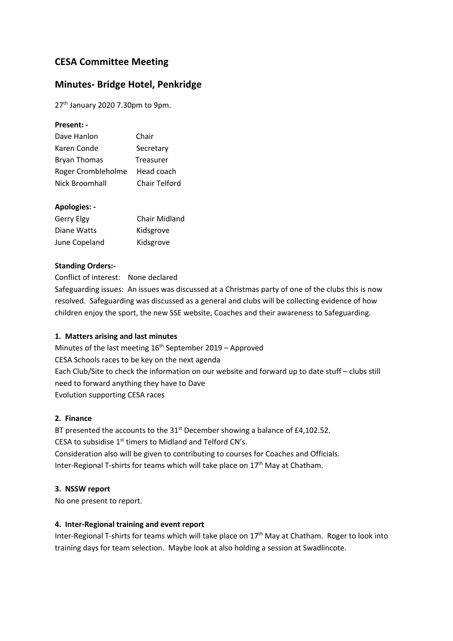# **CESA Committee Meeting**

# **Minutes- Bridge Hotel, Penkridge**

27<sup>th</sup> January 2020 7.30pm to 9pm.

#### **Present: -**

| Dave Hanlon         | Chair                |
|---------------------|----------------------|
| Karen Conde         | Secretary            |
| <b>Bryan Thomas</b> | Treasurer            |
| Roger Crombleholme  | Head coach           |
| Nick Broomhall      | <b>Chair Telford</b> |

### **Apologies: -**

| Gerry Elgy    | <b>Chair Midland</b> |
|---------------|----------------------|
| Diane Watts   | Kidsgrove            |
| June Copeland | Kidsgrove            |

### **Standing Orders:-**

Conflict of interest: None declared

Safeguarding issues: An issues was discussed at a Christmas party of one of the clubs this is now resolved. Safeguarding was discussed as a general and clubs will be collecting evidence of how children enjoy the sport, the new SSE website, Coaches and their awareness to Safeguarding.

### **1. Matters arising and last minutes**

Minutes of the last meeting  $16<sup>th</sup>$  September 2019 – Approved CESA Schools races to be key on the next agenda Each Club/Site to check the information on our website and forward up to date stuff – clubs still need to forward anything they have to Dave Evolution supporting CESA races

### **2. Finance**

BT presented the accounts to the 31<sup>st</sup> December showing a balance of £4,102.52. CESA to subsidise 1<sup>st</sup> timers to Midland and Telford CN's. Consideration also will be given to contributing to courses for Coaches and Officials. Inter-Regional T-shirts for teams which will take place on  $17<sup>th</sup>$  May at Chatham.

#### **3. NSSW report**

No one present to report.

#### **4. Inter-Regional training and event report**

Inter-Regional T-shirts for teams which will take place on 17<sup>th</sup> May at Chatham. Roger to look into training days for team selection. Maybe look at also holding a session at Swadlincote.